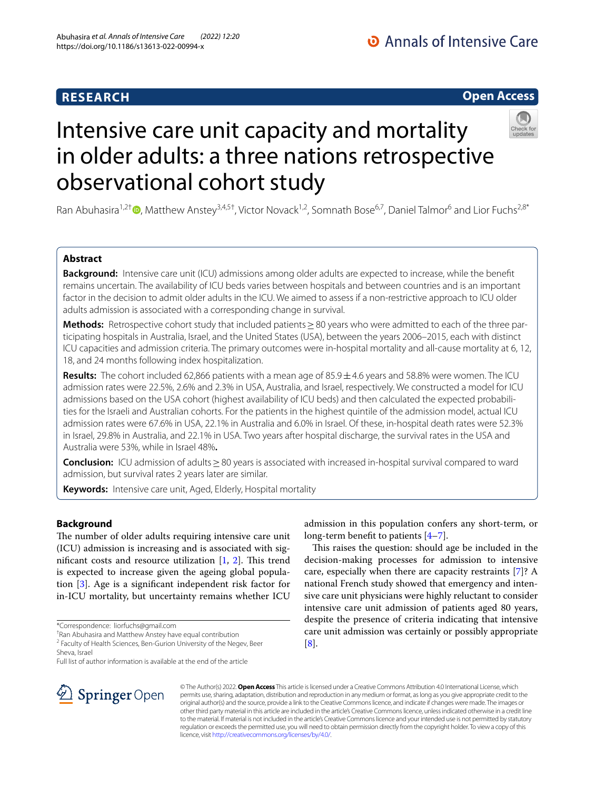# **RESEARCH**

O Annals of Intensive Care

# **Open Access**

# Intensive care unit capacity and mortality in older adults: a three nations retrospective observational cohort study

Ran Abuhasira<sup>1,2†</sup> [,](http://orcid.org/0000-0001-7031-6498) Matthew Anstey<sup>3,4,5†</sup>, Victor Novack<sup>1,2</sup>, Somnath Bose<sup>6,7</sup>, Daniel Talmor<sup>6</sup> and Lior Fuchs<sup>2,8\*</sup>

# **Abstract**

**Background:** Intensive care unit (ICU) admissions among older adults are expected to increase, while the beneft remains uncertain. The availability of ICU beds varies between hospitals and between countries and is an important factor in the decision to admit older adults in the ICU. We aimed to assess if a non-restrictive approach to ICU older adults admission is associated with a corresponding change in survival.

**Methods:** Retrospective cohort study that included patients ≥80 years who were admitted to each of the three participating hospitals in Australia, Israel, and the United States (USA), between the years 2006–2015, each with distinct ICU capacities and admission criteria. The primary outcomes were in-hospital mortality and all-cause mortality at 6, 12, 18, and 24 months following index hospitalization.

**Results:** The cohort included 62,866 patients with a mean age of  $85.9 \pm 4.6$  years and 58.8% were women. The ICU admission rates were 22.5%, 2.6% and 2.3% in USA, Australia, and Israel, respectively. We constructed a model for ICU admissions based on the USA cohort (highest availability of ICU beds) and then calculated the expected probabilities for the Israeli and Australian cohorts. For the patients in the highest quintile of the admission model, actual ICU admission rates were 67.6% in USA, 22.1% in Australia and 6.0% in Israel. Of these, in-hospital death rates were 52.3% in Israel, 29.8% in Australia, and 22.1% in USA. Two years after hospital discharge, the survival rates in the USA and Australia were 53%, while in Israel 48%**.**

**Conclusion:** ICU admission of adults≥80 years is associated with increased in-hospital survival compared to ward admission, but survival rates 2 years later are similar.

[[8\]](#page-7-5).

licence, visit [http://creativecommons.org/licenses/by/4.0/.](http://creativecommons.org/licenses/by/4.0/)

**Keywords:** Intensive care unit, Aged, Elderly, Hospital mortality

## **Background**

The number of older adults requiring intensive care unit (ICU) admission is increasing and is associated with significant costs and resource utilization  $[1, 2]$  $[1, 2]$  $[1, 2]$  $[1, 2]$ . This trend is expected to increase given the ageing global population [[3\]](#page-7-2). Age is a signifcant independent risk factor for in-ICU mortality, but uncertainty remains whether ICU

<sup>2</sup> Faculty of Health Sciences, Ben-Gurion University of the Negev, Beer Sheva, Israel

Full list of author information is available at the end of the article



© The Author(s) 2022. **Open Access** This article is licensed under a Creative Commons Attribution 4.0 International License, which permits use, sharing, adaptation, distribution and reproduction in any medium or format, as long as you give appropriate credit to the original author(s) and the source, provide a link to the Creative Commons licence, and indicate if changes were made. The images or other third party material in this article are included in the article's Creative Commons licence, unless indicated otherwise in a credit line to the material. If material is not included in the article's Creative Commons licence and your intended use is not permitted by statutory regulation or exceeds the permitted use, you will need to obtain permission directly from the copyright holder. To view a copy of this

long-term beneft to patients [[4–](#page-7-3)[7](#page-7-4)].

admission in this population confers any short-term, or

This raises the question: should age be included in the decision-making processes for admission to intensive care, especially when there are capacity restraints [[7\]](#page-7-4)? A national French study showed that emergency and intensive care unit physicians were highly reluctant to consider intensive care unit admission of patients aged 80 years, despite the presence of criteria indicating that intensive care unit admission was certainly or possibly appropriate

<sup>\*</sup>Correspondence: liorfuchs@gmail.com

<sup>†</sup> Ran Abuhasira and Matthew Anstey have equal contribution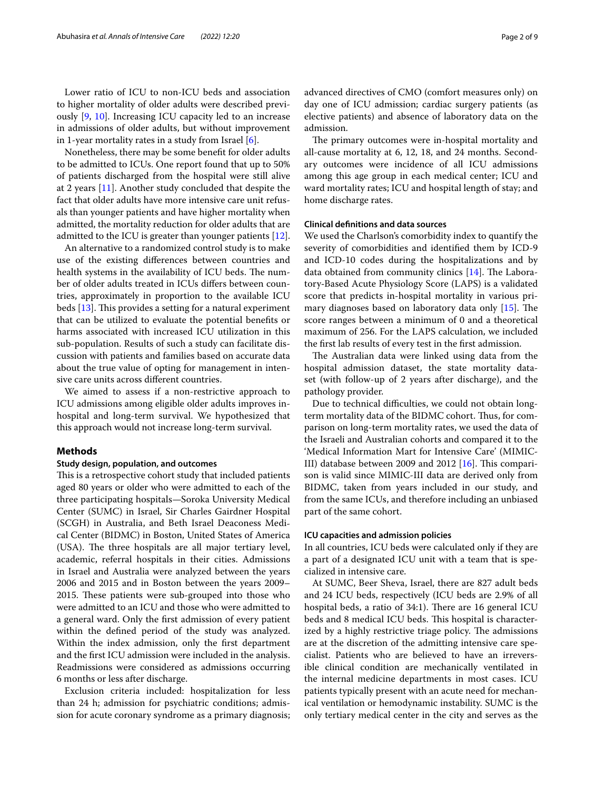Lower ratio of ICU to non-ICU beds and association to higher mortality of older adults were described previously [\[9](#page-7-6), [10\]](#page-7-7). Increasing ICU capacity led to an increase in admissions of older adults, but without improvement in 1-year mortality rates in a study from Israel  $[6]$  $[6]$ .

Nonetheless, there may be some beneft for older adults to be admitted to ICUs. One report found that up to 50% of patients discharged from the hospital were still alive at 2 years [[11\]](#page-7-9). Another study concluded that despite the fact that older adults have more intensive care unit refusals than younger patients and have higher mortality when admitted, the mortality reduction for older adults that are admitted to the ICU is greater than younger patients [\[12](#page-7-10)].

An alternative to a randomized control study is to make use of the existing diferences between countries and health systems in the availability of ICU beds. The number of older adults treated in ICUs difers between countries, approximately in proportion to the available ICU beds  $[13]$ . This provides a setting for a natural experiment that can be utilized to evaluate the potential benefts or harms associated with increased ICU utilization in this sub-population. Results of such a study can facilitate discussion with patients and families based on accurate data about the true value of opting for management in intensive care units across diferent countries.

We aimed to assess if a non-restrictive approach to ICU admissions among eligible older adults improves inhospital and long-term survival. We hypothesized that this approach would not increase long-term survival.

#### **Methods**

#### **Study design, population, and outcomes**

This is a retrospective cohort study that included patients aged 80 years or older who were admitted to each of the three participating hospitals—Soroka University Medical Center (SUMC) in Israel, Sir Charles Gairdner Hospital (SCGH) in Australia, and Beth Israel Deaconess Medical Center (BIDMC) in Boston, United States of America (USA). The three hospitals are all major tertiary level, academic, referral hospitals in their cities. Admissions in Israel and Australia were analyzed between the years 2006 and 2015 and in Boston between the years 2009– 2015. These patients were sub-grouped into those who were admitted to an ICU and those who were admitted to a general ward. Only the frst admission of every patient within the defned period of the study was analyzed. Within the index admission, only the frst department and the frst ICU admission were included in the analysis. Readmissions were considered as admissions occurring 6 months or less after discharge.

Exclusion criteria included: hospitalization for less than 24 h; admission for psychiatric conditions; admission for acute coronary syndrome as a primary diagnosis; advanced directives of CMO (comfort measures only) on day one of ICU admission; cardiac surgery patients (as elective patients) and absence of laboratory data on the admission.

The primary outcomes were in-hospital mortality and all-cause mortality at 6, 12, 18, and 24 months. Secondary outcomes were incidence of all ICU admissions among this age group in each medical center; ICU and ward mortality rates; ICU and hospital length of stay; and home discharge rates.

#### **Clinical defnitions and data sources**

We used the Charlson's comorbidity index to quantify the severity of comorbidities and identifed them by ICD-9 and ICD-10 codes during the hospitalizations and by data obtained from community clinics  $[14]$  $[14]$  $[14]$ . The Laboratory‐Based Acute Physiology Score (LAPS) is a validated score that predicts in-hospital mortality in various primary diagnoses based on laboratory data only  $[15]$  $[15]$  $[15]$ . The score ranges between a minimum of 0 and a theoretical maximum of 256. For the LAPS calculation, we included the frst lab results of every test in the frst admission.

The Australian data were linked using data from the hospital admission dataset, the state mortality dataset (with follow-up of 2 years after discharge), and the pathology provider.

Due to technical difficulties, we could not obtain longterm mortality data of the BIDMC cohort. Thus, for comparison on long-term mortality rates, we used the data of the Israeli and Australian cohorts and compared it to the 'Medical Information Mart for Intensive Care' (MIMIC-III) database between 2009 and 2012  $[16]$  $[16]$ . This comparison is valid since MIMIC-III data are derived only from BIDMC, taken from years included in our study, and from the same ICUs, and therefore including an unbiased part of the same cohort.

#### **ICU capacities and admission policies**

In all countries, ICU beds were calculated only if they are a part of a designated ICU unit with a team that is specialized in intensive care.

At SUMC, Beer Sheva, Israel, there are 827 adult beds and 24 ICU beds, respectively (ICU beds are 2.9% of all hospital beds, a ratio of  $34:1$ ). There are 16 general ICU beds and 8 medical ICU beds. This hospital is characterized by a highly restrictive triage policy. The admissions are at the discretion of the admitting intensive care specialist. Patients who are believed to have an irreversible clinical condition are mechanically ventilated in the internal medicine departments in most cases. ICU patients typically present with an acute need for mechanical ventilation or hemodynamic instability. SUMC is the only tertiary medical center in the city and serves as the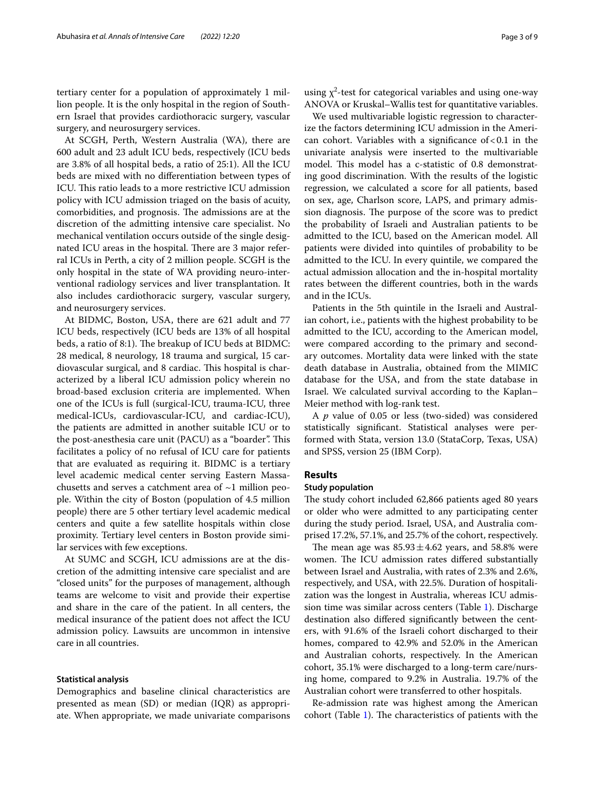tertiary center for a population of approximately 1 million people. It is the only hospital in the region of Southern Israel that provides cardiothoracic surgery, vascular surgery, and neurosurgery services.

At SCGH, Perth, Western Australia (WA), there are 600 adult and 23 adult ICU beds, respectively (ICU beds are 3.8% of all hospital beds, a ratio of 25:1). All the ICU beds are mixed with no diferentiation between types of ICU. This ratio leads to a more restrictive ICU admission policy with ICU admission triaged on the basis of acuity, comorbidities, and prognosis. The admissions are at the discretion of the admitting intensive care specialist. No mechanical ventilation occurs outside of the single designated ICU areas in the hospital. There are 3 major referral ICUs in Perth, a city of 2 million people. SCGH is the only hospital in the state of WA providing neuro-interventional radiology services and liver transplantation. It also includes cardiothoracic surgery, vascular surgery, and neurosurgery services.

At BIDMC, Boston, USA, there are 621 adult and 77 ICU beds, respectively (ICU beds are 13% of all hospital beds, a ratio of 8:1). The breakup of ICU beds at BIDMC: 28 medical, 8 neurology, 18 trauma and surgical, 15 cardiovascular surgical, and 8 cardiac. This hospital is characterized by a liberal ICU admission policy wherein no broad-based exclusion criteria are implemented. When one of the ICUs is full (surgical-ICU, trauma-ICU, three medical-ICUs, cardiovascular-ICU, and cardiac-ICU), the patients are admitted in another suitable ICU or to the post-anesthesia care unit (PACU) as a "boarder". This facilitates a policy of no refusal of ICU care for patients that are evaluated as requiring it. BIDMC is a tertiary level academic medical center serving Eastern Massachusetts and serves a catchment area of  $\sim$ 1 million people. Within the city of Boston (population of 4.5 million people) there are 5 other tertiary level academic medical centers and quite a few satellite hospitals within close proximity. Tertiary level centers in Boston provide similar services with few exceptions.

At SUMC and SCGH, ICU admissions are at the discretion of the admitting intensive care specialist and are "closed units" for the purposes of management, although teams are welcome to visit and provide their expertise and share in the care of the patient. In all centers, the medical insurance of the patient does not afect the ICU admission policy. Lawsuits are uncommon in intensive care in all countries.

#### **Statistical analysis**

Demographics and baseline clinical characteristics are presented as mean (SD) or median (IQR) as appropriate. When appropriate, we made univariate comparisons

using  $\chi^2$ -test for categorical variables and using one-way ANOVA or Kruskal–Wallis test for quantitative variables.

We used multivariable logistic regression to characterize the factors determining ICU admission in the American cohort. Variables with a significance of  $< 0.1$  in the univariate analysis were inserted to the multivariable model. This model has a c-statistic of 0.8 demonstrating good discrimination. With the results of the logistic regression, we calculated a score for all patients, based on sex, age, Charlson score, LAPS, and primary admission diagnosis. The purpose of the score was to predict the probability of Israeli and Australian patients to be admitted to the ICU, based on the American model. All patients were divided into quintiles of probability to be admitted to the ICU. In every quintile, we compared the actual admission allocation and the in-hospital mortality rates between the diferent countries, both in the wards and in the ICUs.

Patients in the 5th quintile in the Israeli and Australian cohort, i.e., patients with the highest probability to be admitted to the ICU, according to the American model, were compared according to the primary and secondary outcomes. Mortality data were linked with the state death database in Australia, obtained from the MIMIC database for the USA, and from the state database in Israel. We calculated survival according to the Kaplan– Meier method with log-rank test.

A *p* value of 0.05 or less (two-sided) was considered statistically signifcant. Statistical analyses were performed with Stata, version 13.0 (StataCorp, Texas, USA) and SPSS, version 25 (IBM Corp).

#### **Results**

#### **Study population**

The study cohort included 62,866 patients aged 80 years or older who were admitted to any participating center during the study period. Israel, USA, and Australia comprised 17.2%, 57.1%, and 25.7% of the cohort, respectively.

The mean age was  $85.93 \pm 4.62$  years, and 58.8% were women. The ICU admission rates differed substantially between Israel and Australia, with rates of 2.3% and 2.6%, respectively, and USA, with 22.5%. Duration of hospitalization was the longest in Australia, whereas ICU admission time was similar across centers (Table [1](#page-3-0)). Discharge destination also difered signifcantly between the centers, with 91.6% of the Israeli cohort discharged to their homes, compared to 42.9% and 52.0% in the American and Australian cohorts, respectively. In the American cohort, 35.1% were discharged to a long-term care/nursing home, compared to 9.2% in Australia. 19.7% of the Australian cohort were transferred to other hospitals.

Re-admission rate was highest among the American cohort (Table  $1$ ). The characteristics of patients with the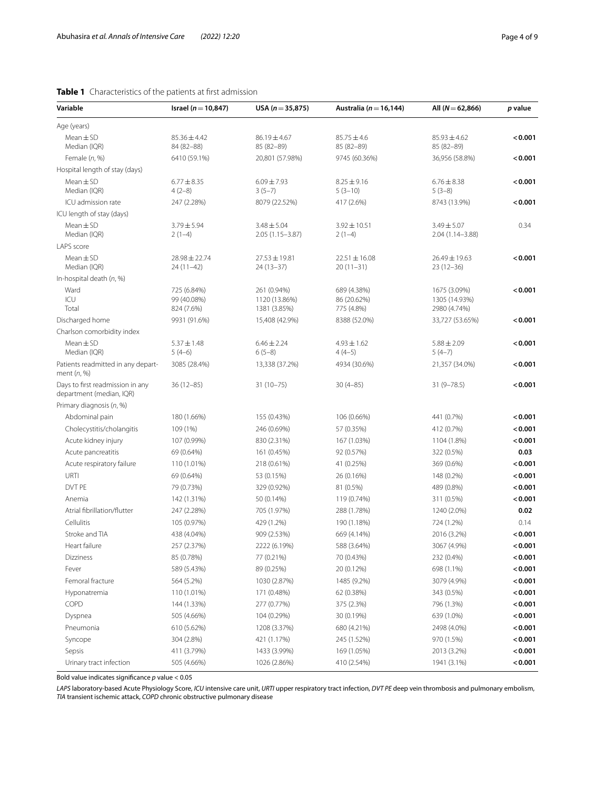<span id="page-3-0"></span>

| Variable                                                     | Israel ( $n = 10,847$ )                  | USA ( $n = 35,875$ )                         | Australia ( $n = 16,144$ )               | All ( $N = 62,866$ )                          | p value |
|--------------------------------------------------------------|------------------------------------------|----------------------------------------------|------------------------------------------|-----------------------------------------------|---------|
| Age (years)                                                  |                                          |                                              |                                          |                                               |         |
| $Mean \pm SD$<br>Median (IQR)                                | $85.36 \pm 4.42$<br>84 (82-88)           | $86.19 \pm 4.67$<br>85 (82-89)               | $85.75 \pm 4.6$<br>85 (82-89)            | $85.93 \pm 4.62$<br>85 (82-89)                | < 0.001 |
| Female (n, %)                                                | 6410 (59.1%)                             | 20,801 (57.98%)                              | 9745 (60.36%)                            | 36,956 (58.8%)                                | < 0.001 |
| Hospital length of stay (days)                               |                                          |                                              |                                          |                                               |         |
| $Mean \pm SD$<br>Median (IQR)                                | $6.77 \pm 8.35$<br>$4(2-8)$              | $6.09 \pm 7.93$<br>$3(5-7)$                  | $8.25 \pm 9.16$<br>$5(3-10)$             | $6.76 \pm 8.38$<br>$5(3-8)$                   | < 0.001 |
| ICU admission rate                                           | 247 (2.28%)                              | 8079 (22.52%)                                | 417 (2.6%)                               | 8743 (13.9%)                                  | < 0.001 |
| ICU length of stay (days)                                    |                                          |                                              |                                          |                                               |         |
| $Mean \pm SD$<br>Median (IQR)                                | $3.79 \pm 5.94$<br>$2(1-4)$              | $3.48 \pm 5.04$<br>$2.05(1.15 - 3.87)$       | $3.92 \pm 10.51$<br>$2(1-4)$             | $3.49 \pm 5.07$<br>$2.04(1.14 - 3.88)$        | 0.34    |
| LAPS score                                                   |                                          |                                              |                                          |                                               |         |
| $Mean \pm SD$<br>Median (IQR)                                | 28.98 ± 22.74<br>24 (11-42)              | $27.53 \pm 19.81$<br>24 (13-37)              | $22.51 \pm 16.08$<br>$20(11-31)$         | 26.49 ± 19.63<br>$23(12-36)$                  | < 0.001 |
| In-hospital death $(n, %)$                                   |                                          |                                              |                                          |                                               |         |
| Ward<br>ICU<br>Total                                         | 725 (6.84%)<br>99 (40.08%)<br>824 (7.6%) | 261 (0.94%)<br>1120 (13.86%)<br>1381 (3.85%) | 689 (4.38%)<br>86 (20.62%)<br>775 (4.8%) | 1675 (3.09%)<br>1305 (14.93%)<br>2980 (4.74%) | < 0.001 |
| Discharged home                                              | 9931 (91.6%)                             | 15,408 (42.9%)                               | 8388 (52.0%)                             | 33,727 (53.65%)                               | < 0.001 |
| Charlson comorbidity index                                   |                                          |                                              |                                          |                                               |         |
| $Mean \pm SD$<br>Median (IQR)                                | $5.37 \pm 1.48$<br>$5(4-6)$              | $6.46 \pm 2.24$<br>$6(5-8)$                  | $4.93 \pm 1.62$<br>$4(4-5)$              | $5.88 \pm 2.09$<br>$5(4-7)$                   | < 0.001 |
| Patients readmitted in any depart-<br>ment $(n, %)$          | 3085 (28.4%)                             | 13,338 (37.2%)                               | 4934 (30.6%)                             | 21,357 (34.0%)                                | < 0.001 |
| Days to first readmission in any<br>department (median, IQR) | $36(12 - 85)$                            | $31(10 - 75)$                                | $30(4-85)$                               | $31(9 - 78.5)$                                | < 0.001 |
| Primary diagnosis (n, %)                                     |                                          |                                              |                                          |                                               |         |
| Abdominal pain                                               | 180 (1.66%)                              | 155 (0.43%)                                  | 106 (0.66%)                              | 441 (0.7%)                                    | < 0.001 |
| Cholecystitis/cholangitis                                    | 109 (1%)                                 | 246 (0.69%)                                  | 57 (0.35%)                               | 412 (0.7%)                                    | < 0.001 |
| Acute kidney injury                                          | 107 (0.99%)                              | 830 (2.31%)                                  | 167 (1.03%)                              | 1104 (1.8%)                                   | < 0.001 |
| Acute pancreatitis                                           | 69 (0.64%)                               | 161 (0.45%)                                  | 92 (0.57%)                               | 322 (0.5%)                                    | 0.03    |
| Acute respiratory failure                                    | 110 (1.01%)                              | 218 (0.61%)                                  | 41 (0.25%)                               | 369 (0.6%)                                    | < 0.001 |
| URTI                                                         | 69 (0.64%)                               | 53 (0.15%)                                   | 26 (0.16%)                               | 148 (0.2%)                                    | < 0.001 |
| DVT PE                                                       | 79 (0.73%)                               | 329 (0.92%)                                  | 81 (0.5%)                                | 489 (0.8%)                                    | < 0.001 |
| Anemia                                                       | 142 (1.31%)                              | 50 (0.14%)                                   | 119 (0.74%)                              | 311 (0.5%)                                    | < 0.001 |
| Atrial fibrillation/flutter                                  | 247 (2.28%)                              | 705 (1.97%)                                  | 288 (1.78%)                              | 1240 (2.0%)                                   | 0.02    |
| Cellulitis                                                   | 105 (0.97%)                              | 429 (1.2%)                                   | 190 (1.18%)                              | 724 (1.2%)                                    | 0.14    |
| Stroke and TIA                                               | 438 (4.04%)                              | 909 (2.53%)                                  | 669 (4.14%)                              | 2016 (3.2%)                                   | < 0.001 |
| Heart failure                                                | 257 (2.37%)                              | 2222 (6.19%)                                 | 588 (3.64%)                              | 3067 (4.9%)                                   | < 0.001 |
| Dizziness                                                    | 85 (0.78%)                               | 77 (0.21%)                                   | 70 (0.43%)                               | 232 (0.4%)                                    | 0.001   |
| Fever                                                        | 589 (5.43%)                              | 89 (0.25%)                                   | 20 (0.12%)                               | 698 (1.1%)                                    | 0.001   |
| Femoral fracture                                             | 564 (5.2%)                               | 1030 (2.87%)                                 | 1485 (9.2%)                              | 3079 (4.9%)                                   | 0.001   |
| Hyponatremia                                                 | 110 (1.01%)                              | 171 (0.48%)                                  | 62 (0.38%)                               | 343 (0.5%)                                    | 0.001   |
| COPD                                                         | 144 (1.33%)                              | 277 (0.77%)                                  | 375 (2.3%)                               | 796 (1.3%)                                    | < 0.001 |
| Dyspnea                                                      | 505 (4.66%)                              | 104 (0.29%)                                  | 30 (0.19%)                               | 639 (1.0%)                                    | 0.001   |
| Pneumonia                                                    | 610 (5.62%)                              | 1208 (3.37%)                                 | 680 (4.21%)                              | 2498 (4.0%)                                   | 0.001   |
| Syncope                                                      | 304 (2.8%)                               | 421 (1.17%)                                  | 245 (1.52%)                              | 970 (1.5%)                                    | < 0.001 |
| Sepsis                                                       | 411 (3.79%)                              | 1433 (3.99%)                                 | 169 (1.05%)                              | 2013 (3.2%)                                   | 0.001   |
| Urinary tract infection                                      | 505 (4.66%)                              | 1026 (2.86%)                                 | 410 (2.54%)                              | 1941 (3.1%)                                   | < 0.001 |

Bold value indicates signifcance *p* value < 0.05

*LAPS* laboratory-based Acute Physiology Score, *ICU* intensive care unit, *URTI* upper respiratory tract infection, *DVT PE* deep vein thrombosis and pulmonary embolism, *TIA* transient ischemic attack, *COPD* chronic obstructive pulmonary disease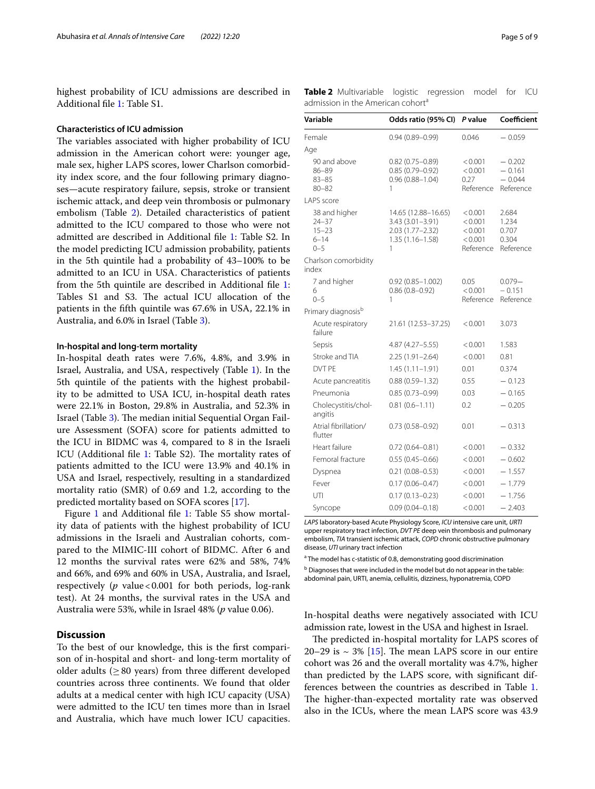highest probability of ICU admissions are described in Additional fle [1](#page-7-15): Table S1.

#### **Characteristics of ICU admission**

The variables associated with higher probability of ICU admission in the American cohort were: younger age, male sex, higher LAPS scores, lower Charlson comorbidity index score, and the four following primary diagnoses—acute respiratory failure, sepsis, stroke or transient ischemic attack, and deep vein thrombosis or pulmonary embolism (Table [2\)](#page-4-0). Detailed characteristics of patient admitted to the ICU compared to those who were not admitted are described in Additional fle [1](#page-7-15): Table S2. In the model predicting ICU admission probability, patients in the 5th quintile had a probability of 43–100% to be admitted to an ICU in USA. Characteristics of patients from the 5th quintile are described in Additional fle [1](#page-7-15): Tables S1 and S3. The actual ICU allocation of the patients in the ffth quintile was 67.6% in USA, 22.1% in Australia, and 6.0% in Israel (Table [3\)](#page-5-0).

#### **In‑hospital and long‑term mortality**

In-hospital death rates were 7.6%, 4.8%, and 3.9% in Israel, Australia, and USA, respectively (Table [1\)](#page-3-0). In the 5th quintile of the patients with the highest probability to be admitted to USA ICU, in-hospital death rates were 22.1% in Boston, 29.8% in Australia, and 52.3% in Israel (Table [3](#page-5-0)). The median initial Sequential Organ Failure Assessment (SOFA) score for patients admitted to the ICU in BIDMC was 4, compared to 8 in the Israeli ICU (Additional file [1:](#page-7-15) Table S2). The mortality rates of patients admitted to the ICU were 13.9% and 40.1% in USA and Israel, respectively, resulting in a standardized mortality ratio (SMR) of 0.69 and 1.2, according to the predicted mortality based on SOFA scores [[17](#page-7-16)].

Figure [1](#page-7-15) and Additional file 1: Table S5 show mortality data of patients with the highest probability of ICU admissions in the Israeli and Australian cohorts, compared to the MIMIC-III cohort of BIDMC. After 6 and 12 months the survival rates were 62% and 58%, 74% and 66%, and 69% and 60% in USA, Australia, and Israel, respectively (*p* value < 0.001 for both periods, log-rank test). At 24 months, the survival rates in the USA and Australia were 53%, while in Israel 48% (*p* value 0.06).

## **Discussion**

To the best of our knowledge, this is the frst comparison of in-hospital and short- and long-term mortality of older adults ( $\geq 80$  years) from three different developed countries across three continents. We found that older adults at a medical center with high ICU capacity (USA) were admitted to the ICU ten times more than in Israel and Australia, which have much lower ICU capacities. <span id="page-4-0"></span>**Table 2** Multivariable logistic regression model for ICU admission in the American cohort<sup>a</sup>

| Variable                                                       | Odds ratio (95% CI)                                                                           | P value                                               | Coefficient                                   |
|----------------------------------------------------------------|-----------------------------------------------------------------------------------------------|-------------------------------------------------------|-----------------------------------------------|
| Female                                                         | $0.94(0.89 - 0.99)$                                                                           | 0.046                                                 | $-0.059$                                      |
| Age                                                            |                                                                                               |                                                       |                                               |
| 90 and above<br>$86 - 89$<br>$83 - 85$<br>$80 - 82$            | $0.82(0.75 - 0.89)$<br>$0.85(0.79 - 0.92)$<br>$0.96(0.88 - 1.04)$<br>1                        | < 0.001<br>< 0.001<br>0.27<br>Reference               | $-0.202$<br>$-0.161$<br>$-0.044$<br>Reference |
| LAPS score                                                     |                                                                                               |                                                       |                                               |
| 38 and higher<br>$24 - 37$<br>$15 - 23$<br>$6 - 14$<br>$0 - 5$ | 14.65 (12.88-16.65)<br>$3.43(3.01 - 3.91)$<br>$2.03(1.77 - 2.32)$<br>$1.35(1.16 - 1.58)$<br>1 | < 0.001<br>< 0.001<br>< 0.001<br>< 0.001<br>Reference | 2.684<br>1.234<br>0.707<br>0.304<br>Reference |
| Charlson comorbidity<br>index                                  |                                                                                               |                                                       |                                               |
| 7 and higher<br>6<br>$0 - 5$                                   | 0.92 (0.85-1.002)<br>$0.86(0.8 - 0.92)$<br>1                                                  | 0.05<br>< 0.001<br>Reference                          | $0.079 -$<br>$-0.151$<br>Reference            |
| Primary diagnosis <sup>b</sup>                                 |                                                                                               |                                                       |                                               |
| Acute respiratory<br>failure                                   | 21.61 (12.53–37.25)                                                                           | < 0.001                                               | 3.073                                         |
| Sepsis                                                         | 4.87 (4.27-5.55)                                                                              | < 0.001                                               | 1.583                                         |
| Stroke and TIA                                                 | $2.25(1.91 - 2.64)$                                                                           | < 0.001                                               | 0.81                                          |
| DVT PE                                                         | $1.45(1.11 - 1.91)$                                                                           | 0.01                                                  | 0.374                                         |
| Acute pancreatitis                                             | $0.88(0.59 - 1.32)$                                                                           | 0.55                                                  | $-0.123$                                      |
| Pneumonia                                                      | $0.85(0.73 - 0.99)$                                                                           | 0.03                                                  | $-0.165$                                      |
| Cholecystitis/chol-<br>angitis                                 | $0.81(0.6 - 1.11)$                                                                            | 0.2                                                   | $-0.205$                                      |
| Atrial fibrillation/<br>flutter                                | $0.73(0.58 - 0.92)$                                                                           | 0.01                                                  | $-0.313$                                      |
| Heart failure                                                  | $0.72(0.64 - 0.81)$                                                                           | < 0.001                                               | $-0.332$                                      |
| Femoral fracture                                               | $0.55(0.45 - 0.66)$                                                                           | < 0.001                                               | $-0.602$                                      |
| Dyspnea                                                        | $0.21(0.08 - 0.53)$                                                                           | < 0.001                                               | $-1.557$                                      |
| Fever                                                          | $0.17(0.06 - 0.47)$                                                                           | < 0.001                                               | $-1.779$                                      |
| UTI                                                            | $0.17(0.13 - 0.23)$                                                                           | < 0.001                                               | $-1.756$                                      |
| Syncope                                                        | $0.09(0.04 - 0.18)$                                                                           | < 0.001                                               | $-2.403$                                      |

*LAPS* laboratory-based Acute Physiology Score, *ICU* intensive care unit, *URTI* upper respiratory tract infection, *DVT PE* deep vein thrombosis and pulmonary embolism, *TIA* transient ischemic attack, *COPD* chronic obstructive pulmonary disease, *UTI* urinary tract infection

<sup>a</sup> The model has c-statistic of 0.8, demonstrating good discrimination

**b** Diagnoses that were included in the model but do not appear in the table: abdominal pain, URTI, anemia, cellulitis, dizziness, hyponatremia, COPD

In-hospital deaths were negatively associated with ICU admission rate, lowest in the USA and highest in Israel.

The predicted in-hospital mortality for LAPS scores of 20–29 is  $\sim$  3% [\[15\]](#page-7-13). The mean LAPS score in our entire cohort was 26 and the overall mortality was 4.7%, higher than predicted by the LAPS score, with signifcant differences between the countries as described in Table [1](#page-3-0). The higher-than-expected mortality rate was observed also in the ICUs, where the mean LAPS score was 43.9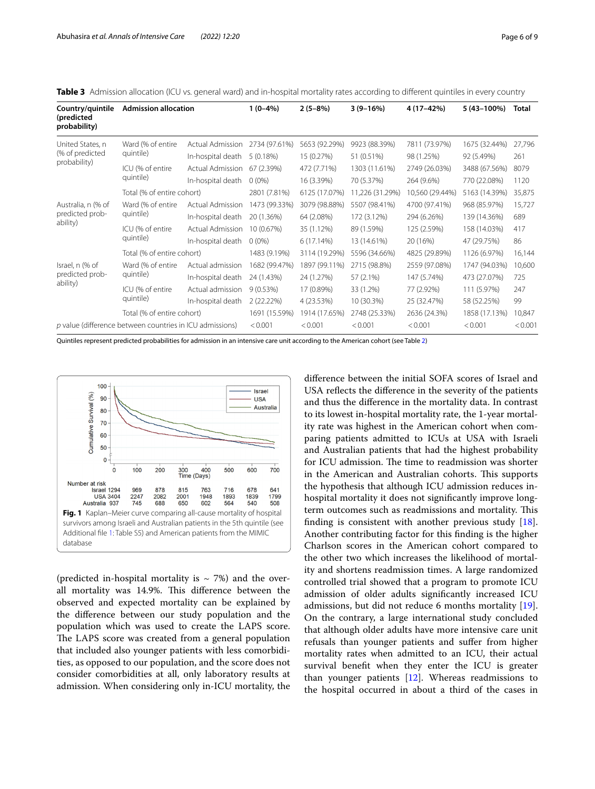<span id="page-5-0"></span>**Table 3** Admission allocation (ICU vs. general ward) and in-hospital mortality rates according to diferent quintiles in every country

| Country/quintile<br>(predicted<br>probability)           | <b>Admission allocation</b>    |                   | $1(0-4%)$     | $2(5-8%)$     | $3(9-16%)$      | 4 (17 - 42%)    | 5 (43-100%)   | Total  |
|----------------------------------------------------------|--------------------------------|-------------------|---------------|---------------|-----------------|-----------------|---------------|--------|
| United States, n<br>(% of predicted<br>probability)      | Ward (% of entire<br>quintile) | Actual Admission  | 2734 (97.61%) | 5653 (92.29%) | 9923 (88.39%)   | 7811 (73.97%)   | 1675 (32.44%) | 27,796 |
|                                                          |                                | In-hospital death | 5(0.18%)      | 15 (0.27%)    | 51 (0.51%)      | 98 (1.25%)      | 92 (5.49%)    | 261    |
|                                                          | ICU (% of entire<br>quintile)  | Actual Admission  | 67 (2.39%)    | 472 (7.71%)   | 1303 (11.61%)   | 2749 (26.03%)   | 3488 (67.56%) | 8079   |
|                                                          |                                | In-hospital death | $0(0\%)$      | 16 (3.39%)    | 70 (5.37%)      | 264 (9.6%)      | 770 (22.08%)  | 1120   |
|                                                          | Total (% of entire cohort)     |                   | 2801 (7.81%)  | 6125 (17.07%) | 11,226 (31.29%) | 10,560 (29.44%) | 5163 (14.39%) | 35,875 |
| Australia, n (% of<br>predicted prob-<br>ability)        | Ward (% of entire<br>quintile) | Actual Admission  | 1473 (99.33%) | 3079 (98.88%) | 5507 (98.41%)   | 4700 (97.41%)   | 968 (85.97%)  | 15,727 |
|                                                          |                                | In-hospital death | 20 (1.36%)    | 64 (2.08%)    | 172 (3.12%)     | 294 (6.26%)     | 139 (14.36%)  | 689    |
|                                                          | ICU (% of entire<br>quintile)  | Actual Admission  | 10 (0.67%)    | 35 (1.12%)    | 89 (1.59%)      | 125 (2.59%)     | 158 (14.03%)  | 417    |
|                                                          |                                | In-hospital death | $0(0\%)$      | 6(17.14%)     | 13 (14.61%)     | 20 (16%)        | 47 (29.75%)   | 86     |
|                                                          | Total (% of entire cohort)     |                   | 1483 (9.19%)  | 3114 (19.29%) | 5596 (34.66%)   | 4825 (29.89%)   | 1126 (6.97%)  | 16,144 |
| Israel, n (% of<br>predicted prob-<br>ability)           | Ward (% of entire<br>quintile) | Actual admission  | 1682 (99.47%) | 1897 (99.11%) | 2715 (98.8%)    | 2559 (97.08%)   | 1747 (94.03%) | 10,600 |
|                                                          |                                | In-hospital death | 24 (1.43%)    | 24 (1.27%)    | 57 (2.1%)       | 147 (5.74%)     | 473 (27.07%)  | 725    |
|                                                          | ICU (% of entire<br>quintile)  | Actual admission  | 9(0.53%)      | 17 (0.89%)    | 33 (1.2%)       | 77 (2.92%)      | 111 (5.97%)   | 247    |
|                                                          |                                | In-hospital death | 2(22.22%)     | 4 (23.53%)    | 10 (30.3%)      | 25 (32.47%)     | 58 (52.25%)   | 99     |
|                                                          | Total (% of entire cohort)     |                   | 1691 (15.59%) | 1914 (17.65%) | 2748 (25.33%)   | 2636 (24.3%)    | 1858 (17.13%) | 10,847 |
| p value (difference between countries in ICU admissions) |                                | < 0.001           | < 0.001       | < 0.001       | < 0.001         | < 0.001         | < 0.001       |        |

Quintiles represent predicted probabilities for admission in an intensive care unit according to the American cohort (see Table [2\)](#page-4-0)



<span id="page-5-1"></span>(predicted in-hospital mortality is  $\sim$  7%) and the overall mortality was 14.9%. This difference between the observed and expected mortality can be explained by the diference between our study population and the population which was used to create the LAPS score. The LAPS score was created from a general population that included also younger patients with less comorbidities, as opposed to our population, and the score does not consider comorbidities at all, only laboratory results at admission. When considering only in-ICU mortality, the diference between the initial SOFA scores of Israel and USA refects the diference in the severity of the patients and thus the diference in the mortality data. In contrast to its lowest in-hospital mortality rate, the 1-year mortality rate was highest in the American cohort when comparing patients admitted to ICUs at USA with Israeli and Australian patients that had the highest probability for ICU admission. The time to readmission was shorter in the American and Australian cohorts. This supports the hypothesis that although ICU admission reduces inhospital mortality it does not signifcantly improve longterm outcomes such as readmissions and mortality. This fnding is consistent with another previous study [\[18](#page-7-17)]. Another contributing factor for this fnding is the higher Charlson scores in the American cohort compared to the other two which increases the likelihood of mortality and shortens readmission times. A large randomized controlled trial showed that a program to promote ICU admission of older adults signifcantly increased ICU admissions, but did not reduce 6 months mortality [\[19](#page-7-18)]. On the contrary, a large international study concluded that although older adults have more intensive care unit refusals than younger patients and sufer from higher mortality rates when admitted to an ICU, their actual survival beneft when they enter the ICU is greater than younger patients  $[12]$  $[12]$ . Whereas readmissions to the hospital occurred in about a third of the cases in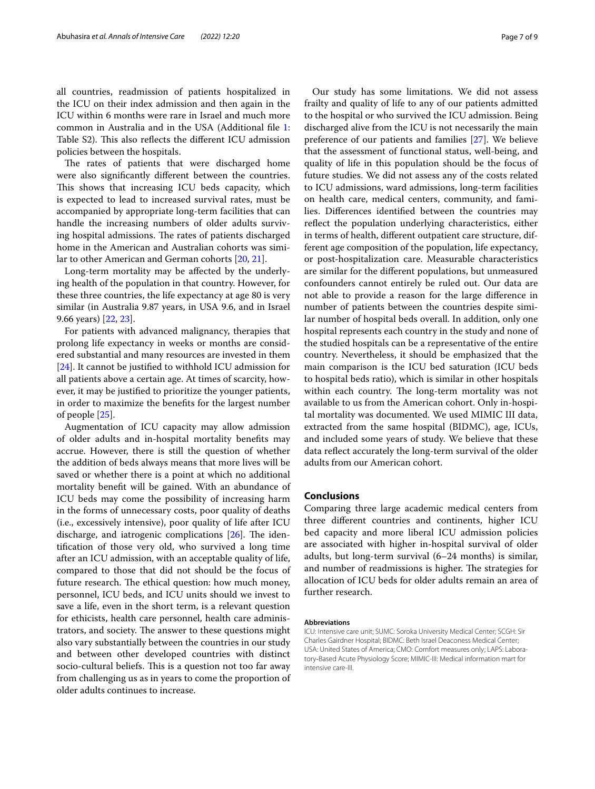all countries, readmission of patients hospitalized in the ICU on their index admission and then again in the ICU within 6 months were rare in Israel and much more common in Australia and in the USA (Additional fle [1](#page-7-15): Table S2). This also reflects the different ICU admission policies between the hospitals.

The rates of patients that were discharged home were also signifcantly diferent between the countries. This shows that increasing ICU beds capacity, which is expected to lead to increased survival rates, must be accompanied by appropriate long-term facilities that can handle the increasing numbers of older adults surviving hospital admissions. The rates of patients discharged home in the American and Australian cohorts was similar to other American and German cohorts [[20,](#page-7-19) [21](#page-8-0)].

Long-term mortality may be afected by the underlying health of the population in that country. However, for these three countries, the life expectancy at age 80 is very similar (in Australia 9.87 years, in USA 9.6, and in Israel 9.66 years) [[22,](#page-8-1) [23\]](#page-8-2).

For patients with advanced malignancy, therapies that prolong life expectancy in weeks or months are considered substantial and many resources are invested in them [[24\]](#page-8-3). It cannot be justified to withhold ICU admission for all patients above a certain age. At times of scarcity, however, it may be justifed to prioritize the younger patients, in order to maximize the benefts for the largest number of people [[25\]](#page-8-4).

Augmentation of ICU capacity may allow admission of older adults and in-hospital mortality benefts may accrue. However, there is still the question of whether the addition of beds always means that more lives will be saved or whether there is a point at which no additional mortality beneft will be gained. With an abundance of ICU beds may come the possibility of increasing harm in the forms of unnecessary costs, poor quality of deaths (i.e., excessively intensive), poor quality of life after ICU discharge, and iatrogenic complications  $[26]$  $[26]$ . The identifcation of those very old, who survived a long time after an ICU admission, with an acceptable quality of life, compared to those that did not should be the focus of future research. The ethical question: how much money, personnel, ICU beds, and ICU units should we invest to save a life, even in the short term, is a relevant question for ethicists, health care personnel, health care administrators, and society. The answer to these questions might also vary substantially between the countries in our study and between other developed countries with distinct socio-cultural beliefs. This is a question not too far away from challenging us as in years to come the proportion of older adults continues to increase.

Our study has some limitations. We did not assess frailty and quality of life to any of our patients admitted to the hospital or who survived the ICU admission. Being discharged alive from the ICU is not necessarily the main preference of our patients and families [\[27\]](#page-8-6). We believe that the assessment of functional status, well-being, and quality of life in this population should be the focus of future studies. We did not assess any of the costs related to ICU admissions, ward admissions, long-term facilities on health care, medical centers, community, and families. Diferences identifed between the countries may refect the population underlying characteristics, either in terms of health, diferent outpatient care structure, different age composition of the population, life expectancy, or post-hospitalization care. Measurable characteristics are similar for the diferent populations, but unmeasured confounders cannot entirely be ruled out. Our data are not able to provide a reason for the large diference in number of patients between the countries despite similar number of hospital beds overall. In addition, only one hospital represents each country in the study and none of the studied hospitals can be a representative of the entire country. Nevertheless, it should be emphasized that the main comparison is the ICU bed saturation (ICU beds to hospital beds ratio), which is similar in other hospitals within each country. The long-term mortality was not available to us from the American cohort. Only in-hospital mortality was documented. We used MIMIC III data, extracted from the same hospital (BIDMC), age, ICUs, and included some years of study. We believe that these data refect accurately the long-term survival of the older adults from our American cohort.

#### **Conclusions**

Comparing three large academic medical centers from three diferent countries and continents, higher ICU bed capacity and more liberal ICU admission policies are associated with higher in-hospital survival of older adults, but long-term survival (6–24 months) is similar, and number of readmissions is higher. The strategies for allocation of ICU beds for older adults remain an area of further research.

#### **Abbreviations**

ICU: Intensive care unit; SUMC: Soroka University Medical Center; SCGH: Sir Charles Gairdner Hospital; BIDMC: Beth Israel Deaconess Medical Center; USA: United States of America; CMO: Comfort measures only; LAPS: Laboratory‐Based Acute Physiology Score; MIMIC-III: Medical information mart for intensive care-III.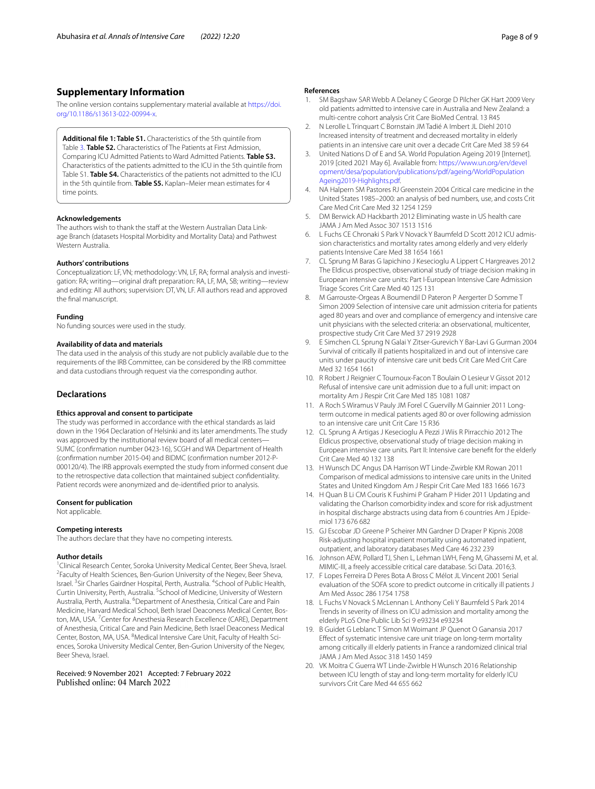## **Supplementary Information**

The online version contains supplementary material available at [https://doi.](https://doi.org/10.1186/s13613-022-00994-x) [org/10.1186/s13613-022-00994-x.](https://doi.org/10.1186/s13613-022-00994-x)

<span id="page-7-15"></span>**Additional fle 1: Table S1.** Characteristics of the 5th quintile from Table [3.](#page-5-0) **Table S2.** Characteristics of The Patients at First Admission, Comparing ICU Admitted Patients to Ward Admitted Patients. **Table S3.** Characteristics of the patients admitted to the ICU in the 5th quintile from Table S1. **Table S4.** Characteristics of the patients not admitted to the ICU in the 5th quintile from. **Table S5.** Kaplan–Meier mean estimates for 4 time points.

#### **Acknowledgements**

The authors wish to thank the staff at the Western Australian Data Linkage Branch (datasets Hospital Morbidity and Mortality Data) and Pathwest Western Australia.

#### **Authors' contributions**

Conceptualization: LF, VN; methodology: VN, LF, RA; formal analysis and investigation: RA; writing—original draft preparation: RA, LF, MA, SB; writing—review and editing: All authors; supervision: DT, VN, LF. All authors read and approved the fnal manuscript.

#### **Funding**

No funding sources were used in the study.

#### **Availability of data and materials**

The data used in the analysis of this study are not publicly available due to the requirements of the IRB Committee, can be considered by the IRB committee and data custodians through request via the corresponding author.

#### **Declarations**

#### **Ethics approval and consent to participate**

The study was performed in accordance with the ethical standards as laid down in the 1964 Declaration of Helsinki and its later amendments. The study was approved by the institutional review board of all medical centers— SUMC (confrmation number 0423-16), SCGH and WA Department of Health (confrmation number 2015-04) and BIDMC (confrmation number 2012-P-000120/4). The IRB approvals exempted the study from informed consent due to the retrospective data collection that maintained subject confdentiality. Patient records were anonymized and de-identifed prior to analysis.

#### **Consent for publication**

Not applicable.

#### **Competing interests**

The authors declare that they have no competing interests.

#### **Author details**

<sup>1</sup> Clinical Research Center, Soroka University Medical Center, Beer Sheva, Israel. <sup>2</sup> Faculty of Health Sciences, Ben-Gurion University of the Negev, Beer Sheva, Israel. <sup>3</sup> Sir Charles Gairdner Hospital, Perth, Australia. <sup>4</sup> School of Public Health, Curtin University, Perth, Australia. <sup>5</sup>School of Medicine, University of Western Australia, Perth, Australia. <sup>6</sup>Department of Anesthesia, Critical Care and Pain Medicine, Harvard Medical School, Beth Israel Deaconess Medical Center, Boston, MA, USA.<sup>7</sup> Center for Anesthesia Research Excellence (CARE), Department of Anesthesia, Critical Care and Pain Medicine, Beth Israel Deaconess Medical Center, Boston, MA, USA. <sup>8</sup>Medical Intensive Care Unit, Faculty of Health Sciences, Soroka University Medical Center, Ben-Gurion University of the Negev, Beer Sheva, Israel.

Received: 9 November 2021 Accepted: 7 February 2022 Published online: 04 March 2022

#### **References**

- <span id="page-7-0"></span>1. SM Bagshaw SAR Webb A Delaney C George D Pilcher GK Hart 2009 Very old patients admitted to intensive care in Australia and New Zealand: a multi-centre cohort analysis Crit Care BioMed Central. 13 R45
- <span id="page-7-1"></span>2. N Lerolle L Trinquart C Bornstain JM Tadié A Imbert JL Diehl 2010 Increased intensity of treatment and decreased mortality in elderly patients in an intensive care unit over a decade Crit Care Med 38 59 64
- <span id="page-7-2"></span>3. United Nations D of E and SA. World Population Ageing 2019 [Internet]. 2019 [cited 2021 May 6]. Available from: [https://www.un.org/en/devel](https://www.un.org/en/development/desa/population/publications/pdf/ageing/WorldPopulationAgeing2019-Highlights.pdf) [opment/desa/population/publications/pdf/ageing/WorldPopulation](https://www.un.org/en/development/desa/population/publications/pdf/ageing/WorldPopulationAgeing2019-Highlights.pdf) [Ageing2019-Highlights.pdf](https://www.un.org/en/development/desa/population/publications/pdf/ageing/WorldPopulationAgeing2019-Highlights.pdf).
- <span id="page-7-3"></span>4. NA Halpern SM Pastores RJ Greenstein 2004 Critical care medicine in the United States 1985–2000: an analysis of bed numbers, use, and costs Crit Care Med Crit Care Med 32 1254 1259
- 5. DM Berwick AD Hackbarth 2012 Eliminating waste in US health care JAMA J Am Med Assoc 307 1513 1516
- <span id="page-7-8"></span>6. L Fuchs CE Chronaki S Park V Novack Y Baumfeld D Scott 2012 ICU admission characteristics and mortality rates among elderly and very elderly patients Intensive Care Med 38 1654 1661
- <span id="page-7-4"></span>7. CL Sprung M Baras G Iapichino J Kesecioglu A Lippert C Hargreaves 2012 The Eldicus prospective, observational study of triage decision making in European intensive care units: Part I-European Intensive Care Admission Triage Scores Crit Care Med 40 125 131
- <span id="page-7-5"></span>8. M Garrouste-Orgeas A Boumendil D Pateron P Aergerter D Somme T Simon 2009 Selection of intensive care unit admission criteria for patients aged 80 years and over and compliance of emergency and intensive care unit physicians with the selected criteria: an observational, multicenter, prospective study Crit Care Med 37 2919 2928
- <span id="page-7-6"></span>9. E Simchen CL Sprung N Galai Y Zitser-Gurevich Y Bar-Lavi G Gurman 2004 Survival of critically ill patients hospitalized in and out of intensive care units under paucity of intensive care unit beds Crit Care Med Crit Care Med 32 1654 1661
- <span id="page-7-7"></span>10. R Robert J Reignier C Tournoux-Facon T Boulain O Lesieur V Gissot 2012 Refusal of intensive care unit admission due to a full unit: impact on mortality Am J Respir Crit Care Med 185 1081 1087
- <span id="page-7-9"></span>11. A Roch S Wiramus V Pauly JM Forel C Guervilly M Gainnier 2011 Longterm outcome in medical patients aged 80 or over following admission to an intensive care unit Crit Care 15 R36
- <span id="page-7-10"></span>12. CL Sprung A Artigas J Kesecioglu A Pezzi J Wiis R Pirracchio 2012 The Eldicus prospective, observational study of triage decision making in European intensive care units. Part II: Intensive care beneft for the elderly Crit Care Med 40 132 138
- <span id="page-7-11"></span>13. H Wunsch DC Angus DA Harrison WT Linde-Zwirble KM Rowan 2011 Comparison of medical admissions to intensive care units in the United States and United Kingdom Am J Respir Crit Care Med 183 1666 1673
- <span id="page-7-12"></span>14. H Quan B Li CM Couris K Fushimi P Graham P Hider 2011 Updating and validating the Charlson comorbidity index and score for risk adjustment in hospital discharge abstracts using data from 6 countries Am J Epidemiol 173 676 682
- <span id="page-7-13"></span>15. GJ Escobar JD Greene P Scheirer MN Gardner D Draper P Kipnis 2008 Risk-adjusting hospital inpatient mortality using automated inpatient, outpatient, and laboratory databases Med Care 46 232 239
- <span id="page-7-14"></span>16. Johnson AEW, Pollard TJ, Shen L, Lehman LWH, Feng M, Ghassemi M, et al. MIMIC-III, a freely accessible critical care database. Sci Data. 2016;3.
- <span id="page-7-16"></span>17. F Lopes Ferreira D Peres Bota A Bross C Mélot JL Vincent 2001 Serial evaluation of the SOFA score to predict outcome in critically ill patients J Am Med Assoc 286 1754 1758
- <span id="page-7-17"></span>18. L Fuchs V Novack S McLennan L Anthony Celi Y Baumfeld S Park 2014 Trends in severity of illness on ICU admission and mortality among the elderly PLoS One Public Lib Sci 9 e93234 e93234
- <span id="page-7-18"></span>19. B Guidet G Leblanc T Simon M Woimant JP Quenot O Ganansia 2017 Efect of systematic intensive care unit triage on long-term mortality among critically ill elderly patients in France a randomized clinical trial JAMA J Am Med Assoc 318 1450 1459
- <span id="page-7-19"></span>20. VK Moitra C Guerra WT Linde-Zwirble H Wunsch 2016 Relationship between ICU length of stay and long-term mortality for elderly ICU survivors Crit Care Med 44 655 662